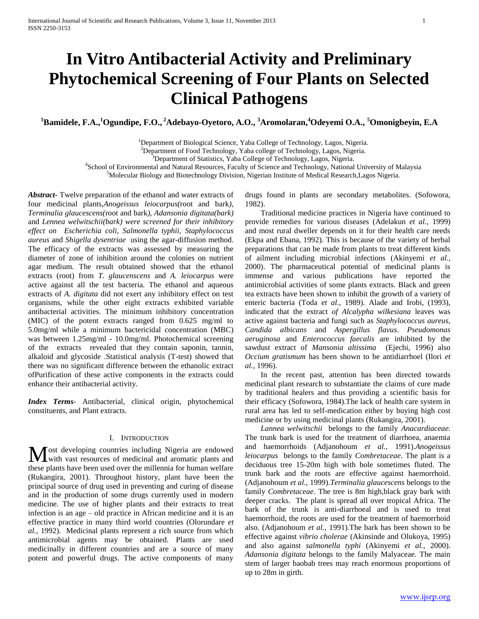# **In Vitro Antibacterial Activity and Preliminary Phytochemical Screening of Four Plants on Selected Clinical Pathogens**

**<sup>1</sup>Bamidele, F.A.,<sup>1</sup>Ogundipe, F.O., <sup>2</sup>Adebayo-Oyetoro, A.O., <sup>3</sup>Aromolaran,<sup>4</sup>Odeyemi O.A., <sup>5</sup>Omonigbeyin, E.A**

<sup>1</sup>Department of Biological Science, Yaba College of Technology, Lagos, Nigeria.

<sup>2</sup>Department of Food Technology, Yaba college of Technology, Lagos, Nigeria.

<sup>3</sup>Department of Statistics, Yaba College of Technology, Lagos, Nigeria.

4 School of Environmental and Natural Resources, Faculty of Science and Technology, National University of Malaysia

<sup>5</sup>Molecular Biology and Biotechnology Division, Nigerian Institute of Medical Research,Lagos Nigeria.

*Abstract***-** Twelve preparation of the ethanol and water extracts of four medicinal plants,*Anogeissus leiocarpus(*root and bark*), Terminalia glaucescens(*root and bark*), Adansonia digitata(bark)*  and *Lennea welwitschii(bark) were screened for their inhibitory effect on Escherichia coli, Salmonella typhii, Staphylococcus aureus* and *Shigella dysentriae* using the agar-diffusion method. The efficacy of the extracts was assessed by measuring the diameter of zone of inhibition around the colonies on nutrient agar medium. The result obtained showed that the ethanol extracts (root) from *T. glaucenscens* and *A. leiocarpus* were active against all the test bacteria. The ethanol and aqueous extracts of *A. digitata* did not exert any inhibitory effect on test organisms, while the other eight extracts exhibited variable antibacterial activities. The minimum inhibitory concentration (MIC) of the potent extracts ranged from 0.625 mg/ml to 5.0mg/ml while a minimum bactericidal concentration (MBC) was between 1.25mg/ml - 10.0mg/ml. Photochemical screening of the extracts revealed that they contain saponin, tannin, alkaloid and glycoside .Statistical analysis (T-test) showed that there was no significant difference between the ethanolic extract ofPurification of these active components in the extracts could enhance their antibacterial activity.

*Index Terms*- Antibacterial, clinical origin, phytochemical constituents, and Plant extracts.

# I. INTRODUCTION

ost developing countries including Nigeria are endowed **M** ost developing countries including Nigeria are endowed with vast resources of medicinal and aromatic plants and these plants have been used over the millennia for human welfare (Rukangira, 2001). Throughout history, plant have been the principal source of drug used in preventing and curing of disease and in the production of some drugs currently used in modern medicine. The use of higher plants and their extracts to treat infection is an age – old practice in African medicine and it is an effective practice in many third world countries (Olorundare *et al.,* 1992). Medicinal plants represent a rich source from which antimicrobial agents may be obtained. Plants are used medicinally in different countries and are a source of many potent and powerful drugs. The active components of many

drugs found in plants are secondary metabolites. (Sofowora, 1982).

 Traditional medicine practices in Nigeria have continued to provide remedies for various diseases (Adelakun *et al.,* 1999) and most rural dweller depends on it for their health care needs (Ekpa and Ebana, 1992). This is because of the variety of herbal preparations that can be made from plants to treat different kinds of ailment including microbial infections (Akinyemi *et al.,* 2000). The pharmaceutical potential of medicinal plants is immense and various publications have reported the antimicrobial activities of some plants extracts. Black and green tea extracts have been shown to inhibit the growth of a variety of enteric bacteria (Toda *et al.,* 1989). Alade and Irobi, (1993), indicated that the extract *of Alcalypha wilkesiana* leaves was active against bacteria and fungi such as *Staphylococcus aureus, Candida albicans* and *Aspergillus flavus*. *Pseudomonas aeruginosa* and *Enterococcus faecalis* are inhibited by the sawdust extract of *Mansonia altissima* (Ejechi, 1996) also *Occium gratismum* has been shown to be antidiarrhoel (Ilori *et al.,* 1996).

 In the recent past, attention has been directed towards medicinal plant research to substantiate the claims of cure made by traditional healers and thus providing a scientific basis for their efficacy (Sofowora, 1984).The lack of health care system in rural area has led to self-medication either by buying high cost medicine or by using medicinal plants (Rukangira, 2001).

 *Lannea welwitschii* belongs to the family *Anacardiaceae.* The trunk bark is used for the treatment of diarrhoea, anaemia and haemorrhoids (Adjanohoum *et al.,* 1991).*Anogeissus leiocarpus* belongs to the family *Combretaceae*. The plant is a deciduous tree 15-20m high with bole sometimes fluted. The trunk bark and the roots are effective against haemorrhoid. (Adjanohoum *et al.,* 1999).*Terminalia glaucescens* belongs to the family *Combretaceae*. The tree is 8m high,black gray bark with deeper cracks. The plant is spread all over tropical Africa. The bark of the trunk is anti-diarrhoeal and is used to treat haemorrhoid, the roots are used for the treatment of haemorrhoid also. (Adjanohoum *et al.,* 1991).The bark has been shown to be effective against *vibrio cholerae* (Akinsinde and Olukoya, 1995) and also against *salmonella typhi* (Akinyemi *et al.,* 2000). *Adansonia digitata* belongs to the family Malyaceae. The main stem of larger baobab trees may reach enormous proportions of up to 28m in girth.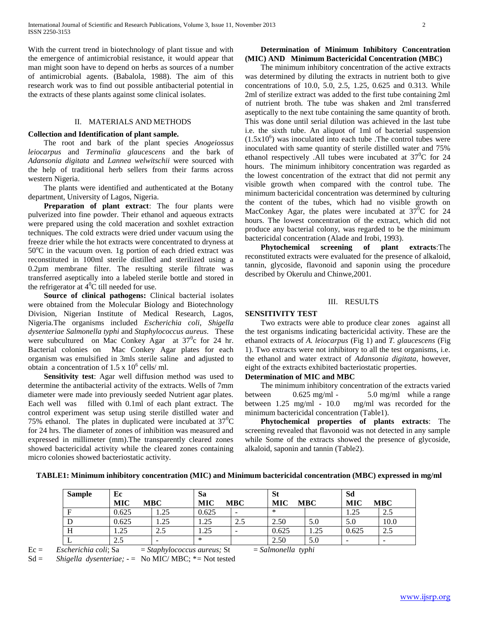With the current trend in biotechnology of plant tissue and with the emergence of antimicrobial resistance, it would appear that man might soon have to depend on herbs as sources of a number of antimicrobial agents. (Babalola, 1988). The aim of this research work was to find out possible antibacterial potential in the extracts of these plants against some clinical isolates.

#### II. MATERIALS AND METHODS

#### **Collection and Identification of plant sample.**

 The root and bark of the plant species *Anogeiossus leiocarpus* and *Terminalia glaucescens* and the bark of *Adansonia digitata* and *Lannea welwitschii* were sourced with the help of traditional herb sellers from their farms across western Nigeria.

 The plants were identified and authenticated at the Botany department, University of Lagos, Nigeria.

 **Preparation of plant extract**: The four plants were pulverized into fine powder. Their ethanol and aqueous extracts were prepared using the cold maceration and soxhlet extraction techniques. The cold extracts were dried under vacuum using the freeze drier while the hot extracts were concentrated to dryness at  $50^{\circ}$ C in the vacuum oven. 1g portion of each dried extract was reconstituted in 100ml sterile distilled and sterilized using a 0.2µm membrane filter. The resulting sterile filtrate was transferred aseptically into a labeled sterile bottle and stored in the refrigerator at  $4^0C$  till needed for use.

 **Source of clinical pathogens:** Clinical bacterial isolates were obtained from the Molecular Biology and Biotechnology Division, Nigerian Institute of Medical Research, Lagos, Nigeria.The organisms included *Escherichia coli*, *Shigella dysenteriae Salmonella typhi* and *Staphylococcus aureus.* These were subcultured on Mac Conkey Agar at  $37^\circ$ c for 24 hr. Bacterial colonies on Mac Conkey Agar plates for each organism was emulsified in 3mls sterile saline and adjusted to obtain a concentration of  $1.5 \times 10^6$  cells/ ml.

 **Sensitivity test**: Agar well diffusion method was used to determine the antibacterial activity of the extracts. Wells of 7mm diameter were made into previously seeded Nutrient agar plates. Each well was filled with 0.1ml of each plant extract. The control experiment was setup using sterile distilled water and 75% ethanol. The plates in duplicated were incubated at  $37^{\circ}$ C for 24 hrs. The diameter of zones of inhibition was measured and expressed in millimeter (mm).The transparently cleared zones showed bactericidal activity while the cleared zones containing micro colonies showed bacteriostatic activity.

## **Determination of Minimum Inhibitory Concentration (MIC) AND Minimum Bactericidal Concentration (MBC)**

 The minimum inhibitory concentration of the active extracts was determined by diluting the extracts in nutrient both to give concentrations of 10.0, 5.0, 2.5, 1.25, 0.625 and 0.313. While 2ml of sterilize extract was added to the first tube containing 2ml of nutrient broth. The tube was shaken and 2ml transferred aseptically to the next tube containing the same quantity of broth. This was done until serial dilution was achieved in the last tube i.e. the sixth tube. An aliquot of 1ml of bacterial suspension  $(1.5x10<sup>6</sup>)$  was inoculated into each tube .The control tubes were inoculated with same quantity of sterile distilled water and 75% ethanol respectively .All tubes were incubated at  $37^{\circ}$ C for 24 hours. The minimum inhibitory concentration was regarded as the lowest concentration of the extract that did not permit any visible growth when compared with the control tube. The minimum bactericidal concentration was determined by culturing the content of the tubes, which had no visible growth on MacConkey Agar, the plates were incubated at  $37^{\circ}$ C for 24 hours. The lowest concentration of the extract, which did not produce any bacterial colony, was regarded to be the minimum bactericidal concentration (Alade and Irobi, 1993).

 **Phytochemical screening of plant extracts**:The reconstituted extracts were evaluated for the presence of alkaloid, tannin, glycoside, flavonoid and saponin using the procedure described by Okerulu and Chinwe,2001.

#### III. RESULTS

#### **SENSITIVITY TEST**

 Two extracts were able to produce clear zones against all the test organisms indicating bactericidal activity. These are the ethanol extracts of *A. leiocarpus* (Fig 1) and *T. glaucescens* (Fig 1). Two extracts were not inhibitory to all the test organisms, i.e. the ethanol and water extract of *Adansonia digitata*, however, eight of the extracts exhibited bacteriostatic properties.

## **Determination of MIC and MBC**

 The minimum inhibitory concentration of the extracts varied between 0.625 mg/ml - 5.0 mg/ml while a range between 1.25 mg/ml - 10.0 mg/ml was recorded for the minimum bactericidal concentration (Table1).

 **Phytochemical properties of plants extracts**: The screening revealed that flavonoid was not detected in any sample while Some of the extracts showed the presence of glycoside, alkaloid, saponin and tannin (Table2).

| <b>Sample</b> | Еc                |        | Sa                       |                          |            | $\sim$<br>м   |                        | Sd                      |  |
|---------------|-------------------|--------|--------------------------|--------------------------|------------|---------------|------------------------|-------------------------|--|
|               | <b>MIC</b><br>мвс |        | <b>MIC</b><br><b>MBC</b> |                          | MIC<br>MBC |               | <b>MIC</b><br>MBC      |                         |  |
|               | 0.625             | ل که د | 0.625                    | $\overline{\phantom{a}}$ | ∗          |               | $\cap \subset$<br>1.23 | $\cap$ $\vdash$<br>ر. ۷ |  |
|               | 0.625             | 1.25   | $\gamma$<br>ل که با      | ر. ت                     | 2.50       | 5.0           | 5.0                    | 10.0                    |  |
| $\bf{H}$      | 1.25              | ر. ک   | 1.25                     | -                        | 0.625      | 25<br>ل که با | 0.625                  | ر…                      |  |

L  $2.5$  -  $| * \cdot |$  2.50  $| 5.0$  -  $| -$ 

## **TABLE1: Minimum inhibitory concentration (MIC) and Minimum bactericidal concentration (MBC) expressed in mg/ml**

Ec = *Escherichia coli*; Sa = *Staphylococcus aureus;* St = *Salmonella typhi* Sd = Shigella dysenteriae; - = No MIC/MBC; \* = Not tested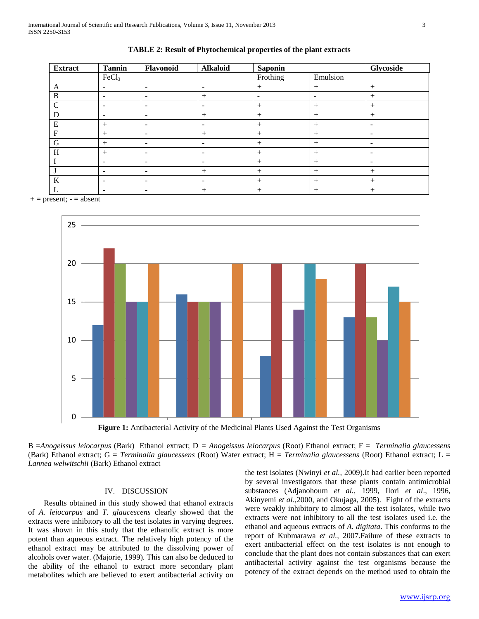| <b>Extract</b> | <b>Tannin</b>                | Flavonoid                    | <b>Alkaloid</b>          | <b>Saponin</b> |                          | Glycoside                |
|----------------|------------------------------|------------------------------|--------------------------|----------------|--------------------------|--------------------------|
|                | FeCl <sub>3</sub>            |                              |                          | Frothing       | Emulsion                 |                          |
| A              | ۰                            | $\overline{\phantom{a}}$     | $\overline{\phantom{a}}$ | $^{+}$         | $+$                      | $+$                      |
| $\bf{B}$       | -                            | $\overline{\phantom{a}}$     | $+$                      | -              | $\overline{\phantom{a}}$ | $^{+}$                   |
| $\mathbf C$    | -                            | $\overline{\phantom{a}}$     | $\overline{\phantom{a}}$ | $^{+}$         | $+$                      | $^{+}$                   |
| D              | -                            | $\overline{\phantom{a}}$     | $+$                      | $^{+}$         | $^{+}$                   | $^{+}$                   |
| E              | $+$                          | -                            | $\overline{\phantom{a}}$ | $^{+}$         | $+$                      | $\overline{\phantom{a}}$ |
| $\mathbf{F}$   | $+$                          | $\overline{\phantom{a}}$     | $+$                      | $+$            | $+$                      | $\overline{\phantom{a}}$ |
| G              | $^{+}$                       | $\overline{\phantom{a}}$     | $\overline{\phantom{a}}$ | $^{+}$         | $^{+}$                   | -                        |
| H              | $+$                          | $\overline{\phantom{a}}$     | $\overline{\phantom{a}}$ | $^{+}$         | $+$                      | $\overline{\phantom{a}}$ |
|                |                              | $\qquad \qquad \blacksquare$ | -                        | $+$            | $+$                      | -                        |
|                | $\qquad \qquad \blacksquare$ | $\overline{\phantom{a}}$     | $+$                      | $^{+}$         | $+$                      | $+$                      |
| $\bf K$        | -                            | -                            | $\overline{\phantom{a}}$ | $+$            | $+$                      | $^{+}$                   |
| L              | -                            | -                            | $+$                      | $^{+}$         | $+$                      | $+$                      |



 $+=$  present;  $=$  absent



Figure 1: Antibacterial Activity of the Medicinal Plants Used Against the Test Organisms

B =*Anogeissus leiocarpus* (Bark) Ethanol extract; D *= Anogeissus leiocarpus* (Root) Ethanol extract; F = *Terminalia glaucessens* (Bark) Ethanol extract; G = *Terminalia glaucessens* (Root) Water extract; H = *Terminalia glaucessens* (Root) Ethanol extract; L = *Lannea welwitschii* (Bark) Ethanol extract

#### IV. DISCUSSION

 Results obtained in this study showed that ethanol extracts of *A. leiocarpus* and *T. glaucescens* clearly showed that the extracts were inhibitory to all the test isolates in varying degrees. It was shown in this study that the ethanolic extract is more potent than aqueous extract. The relatively high potency of the ethanol extract may be attributed to the dissolving power of alcohols over water. (Majorie, 1999). This can also be deduced to the ability of the ethanol to extract more secondary plant metabolites which are believed to exert antibacterial activity on the test isolates (Nwinyi *et al.,* 2009).It had earlier been reported by several investigators that these plants contain antimicrobial substances (Adjanohoum *et al.,* 1999, Ilori *et al*., 1996, Akinyemi *et al*.,2000, and Okujaga, 2005). Eight of the extracts were weakly inhibitory to almost all the test isolates, while two extracts were not inhibitory to all the test isolates used i.e. the ethanol and aqueous extracts of *A. digitata*. This conforms to the report of Kubmarawa *et al.,* 2007.Failure of these extracts to exert antibacterial effect on the test isolates is not enough to conclude that the plant does not contain substances that can exert antibacterial activity against the test organisms because the potency of the extract depends on the method used to obtain the